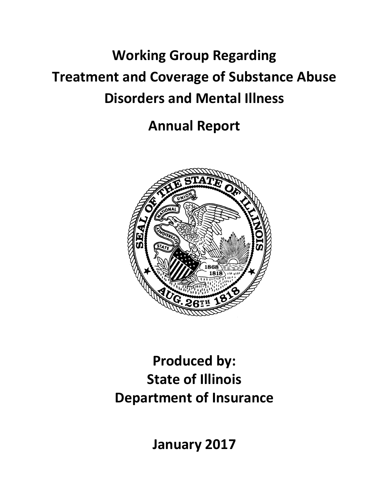# **Working Group Regarding Treatment and Coverage of Substance Abuse Disorders and Mental Illness**

**Annual Report**



# **Produced by: State of Illinois Department of Insurance**

**January 2017**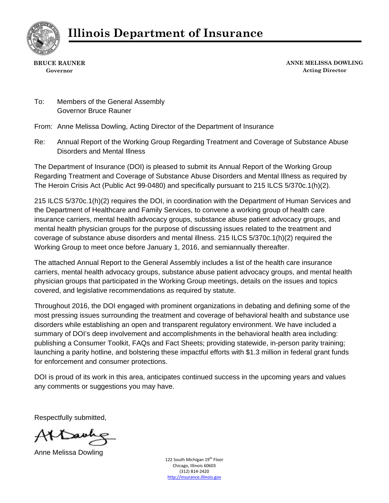

**BRUCE RAUNER Governor** 

**ANNE MELISSA DOWLING Acting Director**

To: Members of the General Assembly Governor Bruce Rauner

From: Anne Melissa Dowling, Acting Director of the Department of Insurance

Re: Annual Report of the Working Group Regarding Treatment and Coverage of Substance Abuse Disorders and Mental Illness

The Department of Insurance (DOI) is pleased to submit its Annual Report of the Working Group Regarding Treatment and Coverage of Substance Abuse Disorders and Mental Illness as required by The Heroin Crisis Act (Public Act 99-0480) and specifically pursuant to 215 ILCS 5/370c.1(h)(2).

215 ILCS 5/370c.1(h)(2) requires the DOI, in coordination with the Department of Human Services and the Department of Healthcare and Family Services, to convene a working group of health care insurance carriers, mental health advocacy groups, substance abuse patient advocacy groups, and mental health physician groups for the purpose of discussing issues related to the treatment and coverage of substance abuse disorders and mental illness. 215 ILCS 5/370c.1(h)(2) required the Working Group to meet once before January 1, 2016, and semiannually thereafter.

The attached Annual Report to the General Assembly includes a list of the health care insurance carriers, mental health advocacy groups, substance abuse patient advocacy groups, and mental health physician groups that participated in the Working Group meetings, details on the issues and topics covered, and legislative recommendations as required by statute.

Throughout 2016, the DOI engaged with prominent organizations in debating and defining some of the most pressing issues surrounding the treatment and coverage of behavioral health and substance use disorders while establishing an open and transparent regulatory environment. We have included a summary of DOI's deep involvement and accomplishments in the behavioral health area including: publishing a Consumer Toolkit, FAQs and Fact Sheets; providing statewide, in-person parity training; launching a parity hotline, and bolstering these impactful efforts with \$1.3 million in federal grant funds for enforcement and consumer protections.

DOI is proud of its work in this area, anticipates continued success in the upcoming years and values any comments or suggestions you may have.

Respectfully submitted,

Attach

Anne Melissa Dowling

122 South Michigan 19<sup>th</sup> Floor Chicago, Illinois 60603 (312) 814‐2420 http://insurance.illinois.gov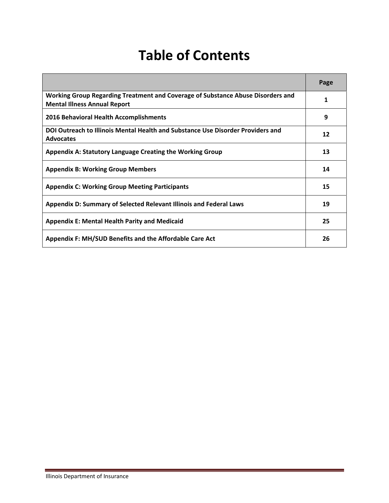# **Table of Contents**

|                                                                                                                        | Page |
|------------------------------------------------------------------------------------------------------------------------|------|
| Working Group Regarding Treatment and Coverage of Substance Abuse Disorders and<br><b>Mental Illness Annual Report</b> | 1    |
| 2016 Behavioral Health Accomplishments                                                                                 | 9    |
| DOI Outreach to Illinois Mental Health and Substance Use Disorder Providers and<br><b>Advocates</b>                    | 12   |
| Appendix A: Statutory Language Creating the Working Group                                                              | 13   |
| <b>Appendix B: Working Group Members</b>                                                                               | 14   |
| <b>Appendix C: Working Group Meeting Participants</b>                                                                  | 15   |
| Appendix D: Summary of Selected Relevant Illinois and Federal Laws                                                     | 19   |
| <b>Appendix E: Mental Health Parity and Medicaid</b>                                                                   | 25   |
| Appendix F: MH/SUD Benefits and the Affordable Care Act                                                                | 26   |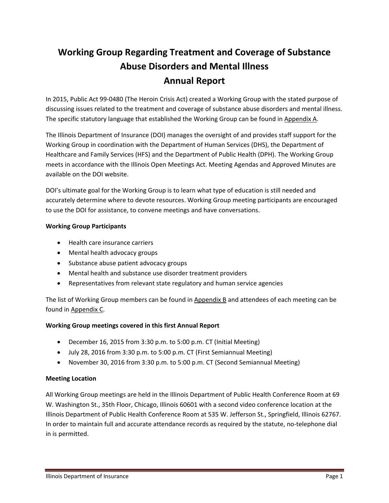## **Working Group Regarding Treatment and Coverage of Substance Abuse Disorders and Mental Illness Annual Report**

In 2015, Public Act 99‐0480 (The Heroin Crisis Act) created a Working Group with the stated purpose of discussing issues related to the treatment and coverage of substance abuse disorders and mental illness. The specific statutory language that established the Working Group can be found in Appendix A.

The Illinois Department of Insurance (DOI) manages the oversight of and provides staff support for the Working Group in coordination with the Department of Human Services (DHS), the Department of Healthcare and Family Services (HFS) and the Department of Public Health (DPH). The Working Group meets in accordance with the Illinois Open Meetings Act. Meeting Agendas and Approved Minutes are available on the DOI website.

DOI's ultimate goal for the Working Group is to learn what type of education is still needed and accurately determine where to devote resources. Working Group meeting participants are encouraged to use the DOI for assistance, to convene meetings and have conversations.

### **Working Group Participants**

- Health care insurance carriers
- Mental health advocacy groups
- Substance abuse patient advocacy groups
- Mental health and substance use disorder treatment providers
- Representatives from relevant state regulatory and human service agencies

The list of Working Group members can be found in Appendix B and attendees of each meeting can be found in Appendix C.

### **Working Group meetings covered in this first Annual Report**

- December 16, 2015 from 3:30 p.m. to 5:00 p.m. CT (Initial Meeting)
- July 28, 2016 from 3:30 p.m. to 5:00 p.m. CT (First Semiannual Meeting)
- November 30, 2016 from 3:30 p.m. to 5:00 p.m. CT (Second Semiannual Meeting)

### **Meeting Location**

All Working Group meetings are held in the Illinois Department of Public Health Conference Room at 69 W. Washington St., 35th Floor, Chicago, Illinois 60601 with a second video conference location at the Illinois Department of Public Health Conference Room at 535 W. Jefferson St., Springfield, Illinois 62767. In order to maintain full and accurate attendance records as required by the statute, no‐telephone dial in is permitted.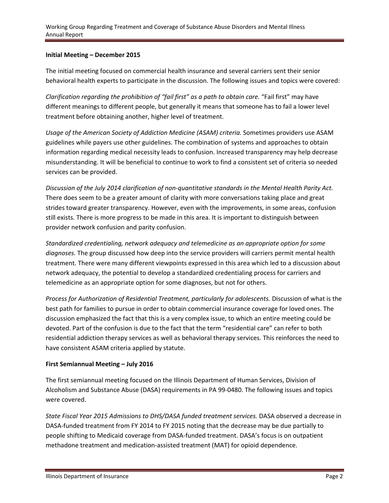### **Initial Meeting – December 2015**

The initial meeting focused on commercial health insurance and several carriers sent their senior behavioral health experts to participate in the discussion. The following issues and topics were covered:

*Clarification regarding the prohibition of "fail first" as a path to obtain care.* "Fail first" may have different meanings to different people, but generally it means that someone has to fail a lower level treatment before obtaining another, higher level of treatment.

*Usage of the American Society of Addiction Medicine (ASAM) criteria.* Sometimes providers use ASAM guidelines while payers use other guidelines. The combination of systems and approaches to obtain information regarding medical necessity leads to confusion. Increased transparency may help decrease misunderstanding. It will be beneficial to continue to work to find a consistent set of criteria so needed services can be provided.

*Discussion of the July 2014 clarification of non‐quantitative standards in the Mental Health Parity Act.* There does seem to be a greater amount of clarity with more conversations taking place and great strides toward greater transparency. However, even with the improvements, in some areas, confusion still exists. There is more progress to be made in this area. It is important to distinguish between provider network confusion and parity confusion.

*Standardized credentialing, network adequacy and telemedicine as an appropriate option for some diagnoses.* The group discussed how deep into the service providers will carriers permit mental health treatment. There were many different viewpoints expressed in this area which led to a discussion about network adequacy, the potential to develop a standardized credentialing process for carriers and telemedicine as an appropriate option for some diagnoses, but not for others.

*Process for Authorization of Residential Treatment, particularly for adolescents.* Discussion of what is the best path for families to pursue in order to obtain commercial insurance coverage for loved ones. The discussion emphasized the fact that this is a very complex issue, to which an entire meeting could be devoted. Part of the confusion is due to the fact that the term "residential care" can refer to both residential addiction therapy services as well as behavioral therapy services. This reinforces the need to have consistent ASAM criteria applied by statute.

### **First Semiannual Meeting – July 2016**

The first semiannual meeting focused on the Illinois Department of Human Services, Division of Alcoholism and Substance Abuse (DASA) requirements in PA 99‐0480. The following issues and topics were covered.

*State Fiscal Year 2015 Admissions to DHS/DASA funded treatment services.* DASA observed a decrease in DASA‐funded treatment from FY 2014 to FY 2015 noting that the decrease may be due partially to people shifting to Medicaid coverage from DASA‐funded treatment. DASA's focus is on outpatient methadone treatment and medication-assisted treatment (MAT) for opioid dependence.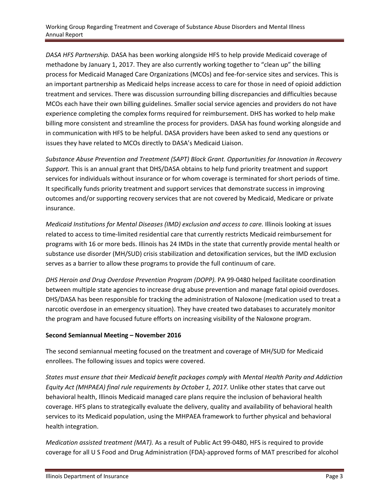*DASA HFS Partnership.* DASA has been working alongside HFS to help provide Medicaid coverage of methadone by January 1, 2017. They are also currently working together to "clean up" the billing process for Medicaid Managed Care Organizations (MCOs) and fee‐for‐service sites and services. This is an important partnership as Medicaid helps increase access to care for those in need of opioid addiction treatment and services. There was discussion surrounding billing discrepancies and difficulties because MCOs each have their own billing guidelines. Smaller social service agencies and providers do not have experience completing the complex forms required for reimbursement. DHS has worked to help make billing more consistent and streamline the process for providers. DASA has found working alongside and in communication with HFS to be helpful. DASA providers have been asked to send any questions or issues they have related to MCOs directly to DASA's Medicaid Liaison.

*Substance Abuse Prevention and Treatment (SAPT) Block Grant. Opportunities for Innovation in Recovery Support.* This is an annual grant that DHS/DASA obtains to help fund priority treatment and support services for individuals without insurance or for whom coverage is terminated for short periods of time. It specifically funds priority treatment and support services that demonstrate success in improving outcomes and/or supporting recovery services that are not covered by Medicaid, Medicare or private insurance.

*Medicaid Institutions for Mental Diseases (IMD) exclusion and access to care.* Illinois looking at issues related to access to time‐limited residential care that currently restricts Medicaid reimbursement for programs with 16 or more beds. Illinois has 24 IMDs in the state that currently provide mental health or substance use disorder (MH/SUD) crisis stabilization and detoxification services, but the IMD exclusion serves as a barrier to allow these programs to provide the full continuum of care.

*DHS Heroin and Drug Overdose Prevention Program (DOPP).* PA 99‐0480 helped facilitate coordination between multiple state agencies to increase drug abuse prevention and manage fatal opioid overdoses. DHS/DASA has been responsible for tracking the administration of Naloxone (medication used to treat a narcotic overdose in an emergency situation). They have created two databases to accurately monitor the program and have focused future efforts on increasing visibility of the Naloxone program.

### **Second Semiannual Meeting – November 2016**

The second semiannual meeting focused on the treatment and coverage of MH/SUD for Medicaid enrollees. The following issues and topics were covered.

*States must ensure that their Medicaid benefit packages comply with Mental Health Parity and Addiction Equity Act (MHPAEA) final rule requirements by October 1, 2017.* Unlike other states that carve out behavioral health, Illinois Medicaid managed care plans require the inclusion of behavioral health coverage. HFS plans to strategically evaluate the delivery, quality and availability of behavioral health services to its Medicaid population, using the MHPAEA framework to further physical and behavioral health integration.

*Medication assisted treatment (MAT).* As a result of Public Act 99‐0480, HFS is required to provide coverage for all U S Food and Drug Administration (FDA)‐approved forms of MAT prescribed for alcohol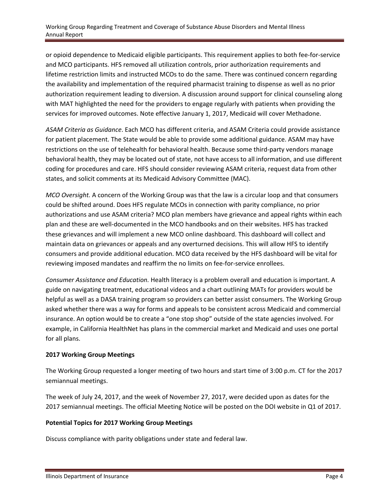#### Working Group Regarding Treatment and Coverage of Substance Abuse Disorders and Mental Illness Annual Report

or opioid dependence to Medicaid eligible participants. This requirement applies to both fee‐for‐service and MCO participants. HFS removed all utilization controls, prior authorization requirements and lifetime restriction limits and instructed MCOs to do the same. There was continued concern regarding the availability and implementation of the required pharmacist training to dispense as well as no prior authorization requirement leading to diversion. A discussion around support for clinical counseling along with MAT highlighted the need for the providers to engage regularly with patients when providing the services for improved outcomes. Note effective January 1, 2017, Medicaid will cover Methadone.

*ASAM Criteria as Guidance*. Each MCO has different criteria, and ASAM Criteria could provide assistance for patient placement. The State would be able to provide some additional guidance. ASAM may have restrictions on the use of telehealth for behavioral health. Because some third‐party vendors manage behavioral health, they may be located out of state, not have access to all information, and use different coding for procedures and care. HFS should consider reviewing ASAM criteria, request data from other states, and solicit comments at its Medicaid Advisory Committee (MAC).

*MCO Oversight.* A concern of the Working Group was that the law is a circular loop and that consumers could be shifted around. Does HFS regulate MCOs in connection with parity compliance, no prior authorizations and use ASAM criteria? MCO plan members have grievance and appeal rights within each plan and these are well‐documented in the MCO handbooks and on their websites. HFS has tracked these grievances and will implement a new MCO online dashboard. This dashboard will collect and maintain data on grievances or appeals and any overturned decisions. This will allow HFS to identify consumers and provide additional education. MCO data received by the HFS dashboard will be vital for reviewing imposed mandates and reaffirm the no limits on fee‐for‐service enrollees.

*Consumer Assistance and Education.* Health literacy is a problem overall and education is important. A guide on navigating treatment, educational videos and a chart outlining MATs for providers would be helpful as well as a DASA training program so providers can better assist consumers. The Working Group asked whether there was a way for forms and appeals to be consistent across Medicaid and commercial insurance. An option would be to create a "one stop shop" outside of the state agencies involved. For example, in California HealthNet has plans in the commercial market and Medicaid and uses one portal for all plans.

### **2017 Working Group Meetings**

The Working Group requested a longer meeting of two hours and start time of 3:00 p.m. CT for the 2017 semiannual meetings.

The week of July 24, 2017, and the week of November 27, 2017, were decided upon as dates for the 2017 semiannual meetings. The official Meeting Notice will be posted on the DOI website in Q1 of 2017.

### **Potential Topics for 2017 Working Group Meetings**

Discuss compliance with parity obligations under state and federal law.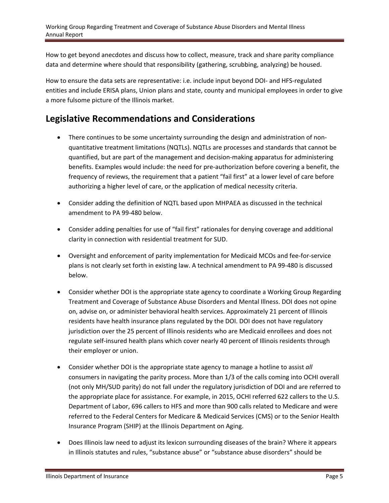How to get beyond anecdotes and discuss how to collect, measure, track and share parity compliance data and determine where should that responsibility (gathering, scrubbing, analyzing) be housed.

How to ensure the data sets are representative: i.e. include input beyond DOI‐ and HFS‐regulated entities and include ERISA plans, Union plans and state, county and municipal employees in order to give a more fulsome picture of the Illinois market.

### **Legislative Recommendations and Considerations**

- There continues to be some uncertainty surrounding the design and administration of nonquantitative treatment limitations (NQTLs). NQTLs are processes and standards that cannot be quantified, but are part of the management and decision‐making apparatus for administering benefits. Examples would include: the need for pre‐authorization before covering a benefit, the frequency of reviews, the requirement that a patient "fail first" at a lower level of care before authorizing a higher level of care, or the application of medical necessity criteria.
- Consider adding the definition of NQTL based upon MHPAEA as discussed in the technical amendment to PA 99‐480 below.
- Consider adding penalties for use of "fail first" rationales for denying coverage and additional clarity in connection with residential treatment for SUD.
- Oversight and enforcement of parity implementation for Medicaid MCOs and fee‐for‐service plans is not clearly set forth in existing law. A technical amendment to PA 99‐480 is discussed below.
- Consider whether DOI is the appropriate state agency to coordinate a Working Group Regarding Treatment and Coverage of Substance Abuse Disorders and Mental Illness. DOI does not opine on, advise on, or administer behavioral health services. Approximately 21 percent of Illinois residents have health insurance plans regulated by the DOI. DOI does not have regulatory jurisdiction over the 25 percent of Illinois residents who are Medicaid enrollees and does not regulate self‐insured health plans which cover nearly 40 percent of Illinois residents through their employer or union.
- Consider whether DOI is the appropriate state agency to manage a hotline to assist *all* consumers in navigating the parity process. More than 1/3 of the calls coming into OCHI overall (not only MH/SUD parity) do not fall under the regulatory jurisdiction of DOI and are referred to the appropriate place for assistance. For example, in 2015, OCHI referred 622 callers to the U.S. Department of Labor, 696 callers to HFS and more than 900 calls related to Medicare and were referred to the Federal Centers for Medicare & Medicaid Services (CMS) or to the Senior Health Insurance Program (SHIP) at the Illinois Department on Aging.
- Does Illinois law need to adjust its lexicon surrounding diseases of the brain? Where it appears in Illinois statutes and rules, "substance abuse" or "substance abuse disorders" should be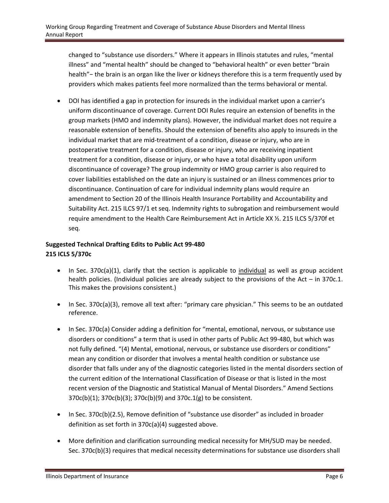changed to "substance use disorders." Where it appears in Illinois statutes and rules, "mental illness" and "mental health" should be changed to "behavioral health" or even better "brain health"− the brain is an organ like the liver or kidneys therefore this is a term frequently used by providers which makes patients feel more normalized than the terms behavioral or mental.

 DOI has identified a gap in protection for insureds in the individual market upon a carrier's uniform discontinuance of coverage. Current DOI Rules require an extension of benefits in the group markets (HMO and indemnity plans). However, the individual market does not require a reasonable extension of benefits. Should the extension of benefits also apply to insureds in the individual market that are mid-treatment of a condition, disease or injury, who are in postoperative treatment for a condition, disease or injury, who are receiving inpatient treatment for a condition, disease or injury, or who have a total disability upon uniform discontinuance of coverage? The group indemnity or HMO group carrier is also required to cover liabilities established on the date an injury is sustained or an illness commences prior to discontinuance. Continuation of care for individual indemnity plans would require an amendment to Section 20 of the Illinois Health Insurance Portability and Accountability and Suitability Act. 215 ILCS 97/1 et seq. Indemnity rights to subrogation and reimbursement would require amendment to the Health Care Reimbursement Act in Article XX ½. 215 ILCS 5/370f et seq.

### **Suggested Technical Drafting Edits to Public Act 99‐480 215 ICLS 5/370c**

- In Sec. 370c(a)(1), clarify that the section is applicable to individual as well as group accident health policies. (Individual policies are already subject to the provisions of the Act – in 370c.1. This makes the provisions consistent.)
- In Sec. 370c(a)(3), remove all text after: "primary care physician." This seems to be an outdated reference.
- In Sec. 370c(a) Consider adding a definition for "mental, emotional, nervous, or substance use disorders or conditions" a term that is used in other parts of Public Act 99‐480, but which was not fully defined. "(4) Mental, emotional, nervous, or substance use disorders or conditions" mean any condition or disorder that involves a mental health condition or substance use disorder that falls under any of the diagnostic categories listed in the mental disorders section of the current edition of the International Classification of Disease or that is listed in the most recent version of the Diagnostic and Statistical Manual of Mental Disorders." Amend Sections 370c(b)(1); 370c(b)(3); 370c(b)(9) and 370c.1(g) to be consistent.
- In Sec. 370c(b)(2.5), Remove definition of "substance use disorder" as included in broader definition as set forth in 370c(a)(4) suggested above.
- More definition and clarification surrounding medical necessity for MH/SUD may be needed. Sec. 370c(b)(3) requires that medical necessity determinations for substance use disorders shall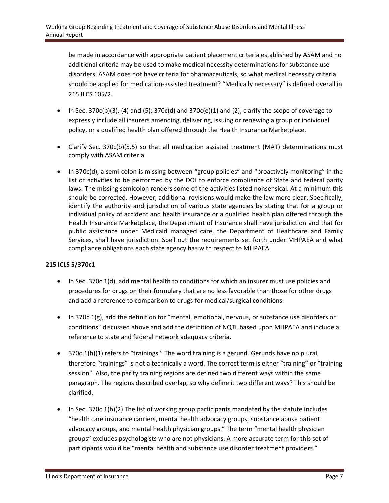be made in accordance with appropriate patient placement criteria established by ASAM and no additional criteria may be used to make medical necessity determinations for substance use disorders. ASAM does not have criteria for pharmaceuticals, so what medical necessity criteria should be applied for medication‐assisted treatment? "Medically necessary" is defined overall in 215 ILCS 105/2.

- In Sec. 370c(b)(3), (4) and (5); 370c(d) and 370c(e)(1) and (2), clarify the scope of coverage to expressly include all insurers amending, delivering, issuing or renewing a group or individual policy, or a qualified health plan offered through the Health Insurance Marketplace.
- Clarify Sec. 370c(b)(5.5) so that all medication assisted treatment (MAT) determinations must comply with ASAM criteria.
- In 370c(d), a semi-colon is missing between "group policies" and "proactively monitoring" in the list of activities to be performed by the DOI to enforce compliance of State and federal parity laws. The missing semicolon renders some of the activities listed nonsensical. At a minimum this should be corrected. However, additional revisions would make the law more clear. Specifically, identify the authority and jurisdiction of various state agencies by stating that for a group or individual policy of accident and health insurance or a qualified health plan offered through the Health Insurance Marketplace, the Department of Insurance shall have jurisdiction and that for public assistance under Medicaid managed care, the Department of Healthcare and Family Services, shall have jurisdiction. Spell out the requirements set forth under MHPAEA and what compliance obligations each state agency has with respect to MHPAEA.

### **215 ICLS 5/370c1**

- In Sec. 370c.1(d), add mental health to conditions for which an insurer must use policies and procedures for drugs on their formulary that are no less favorable than those for other drugs and add a reference to comparison to drugs for medical/surgical conditions.
- In 370c.1(g), add the definition for "mental, emotional, nervous, or substance use disorders or conditions" discussed above and add the definition of NQTL based upon MHPAEA and include a reference to state and federal network adequacy criteria.
- 370c.1(h)(1) refers to "trainings." The word training is a gerund. Gerunds have no plural, therefore "trainings" is not a technically a word. The correct term is either "training" or "training session". Also, the parity training regions are defined two different ways within the same paragraph. The regions described overlap, so why define it two different ways? This should be clarified.
- $\bullet$  In Sec. 370c.1(h)(2) The list of working group participants mandated by the statute includes "health care insurance carriers, mental health advocacy groups, substance abuse patient advocacy groups, and mental health physician groups." The term "mental health physician groups" excludes psychologists who are not physicians. A more accurate term for this set of participants would be "mental health and substance use disorder treatment providers."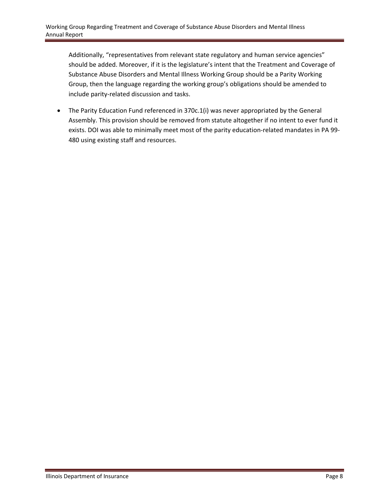Additionally, "representatives from relevant state regulatory and human service agencies" should be added. Moreover, if it is the legislature's intent that the Treatment and Coverage of Substance Abuse Disorders and Mental Illness Working Group should be a Parity Working Group, then the language regarding the working group's obligations should be amended to include parity‐related discussion and tasks.

• The Parity Education Fund referenced in 370c.1(i) was never appropriated by the General Assembly. This provision should be removed from statute altogether if no intent to ever fund it exists. DOI was able to minimally meet most of the parity education‐related mandates in PA 99‐ 480 using existing staff and resources.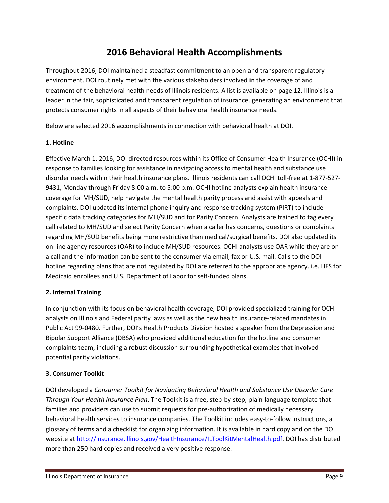### **2016 Behavioral Health Accomplishments**

Throughout 2016, DOI maintained a steadfast commitment to an open and transparent regulatory environment. DOI routinely met with the various stakeholders involved in the coverage of and treatment of the behavioral health needs of Illinois residents. A list is available on page 12. Illinois is a leader in the fair, sophisticated and transparent regulation of insurance, generating an environment that protects consumer rights in all aspects of their behavioral health insurance needs.

Below are selected 2016 accomplishments in connection with behavioral health at DOI.

### **1. Hotline**

Effective March 1, 2016, DOI directed resources within its Office of Consumer Health Insurance (OCHI) in response to families looking for assistance in navigating access to mental health and substance use disorder needs within their health insurance plans. Illinois residents can call OCHI toll‐free at 1‐877‐527‐ 9431, Monday through Friday 8:00 a.m. to 5:00 p.m. OCHI hotline analysts explain health insurance coverage for MH/SUD, help navigate the mental health parity process and assist with appeals and complaints. DOI updated its internal phone inquiry and response tracking system (PIRT) to include specific data tracking categories for MH/SUD and for Parity Concern. Analysts are trained to tag every call related to MH/SUD and select Parity Concern when a caller has concerns, questions or complaints regarding MH/SUD benefits being more restrictive than medical/surgical benefits. DOI also updated its on‐line agency resources (OAR) to include MH/SUD resources. OCHI analysts use OAR while they are on a call and the information can be sent to the consumer via email, fax or U.S. mail. Calls to the DOI hotline regarding plans that are not regulated by DOI are referred to the appropriate agency. i.e. HFS for Medicaid enrollees and U.S. Department of Labor for self‐funded plans.

### **2. Internal Training**

In conjunction with its focus on behavioral health coverage, DOI provided specialized training for OCHI analysts on Illinois and Federal parity laws as well as the new health insurance‐related mandates in Public Act 99‐0480. Further, DOI's Health Products Division hosted a speaker from the Depression and Bipolar Support Alliance (DBSA) who provided additional education for the hotline and consumer complaints team, including a robust discussion surrounding hypothetical examples that involved potential parity violations.

### **3. Consumer Toolkit**

DOI developed a *Consumer Toolkit for Navigating Behavioral Health and Substance Use Disorder Care Through Your Health Insurance Plan*. The Toolkit is a free, step‐by‐step, plain‐language template that families and providers can use to submit requests for pre-authorization of medically necessary behavioral health services to insurance companies. The Toolkit includes easy-to-follow instructions, a glossary of terms and a checklist for organizing information. It is available in hard copy and on the DOI website at http://insurance.illinois.gov/HealthInsurance/ILToolKitMentalHealth.pdf. DOI has distributed more than 250 hard copies and received a very positive response.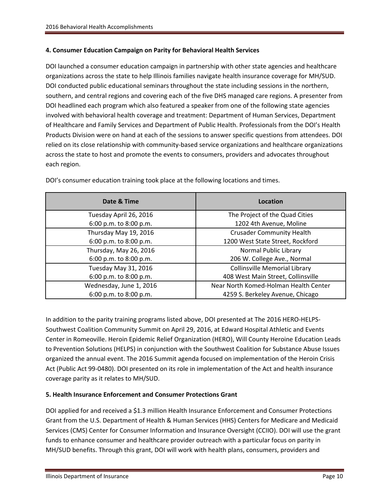### **4. Consumer Education Campaign on Parity for Behavioral Health Services**

DOI launched a consumer education campaign in partnership with other state agencies and healthcare organizations across the state to help Illinois families navigate health insurance coverage for MH/SUD. DOI conducted public educational seminars throughout the state including sessions in the northern, southern, and central regions and covering each of the five DHS managed care regions. A presenter from DOI headlined each program which also featured a speaker from one of the following state agencies involved with behavioral health coverage and treatment: Department of Human Services, Department of Healthcare and Family Services and Department of Public Health. Professionals from the DOI's Health Products Division were on hand at each of the sessions to answer specific questions from attendees. DOI relied on its close relationship with community-based service organizations and healthcare organizations across the state to host and promote the events to consumers, providers and advocates throughout each region.

| Date & Time             | Location                              |
|-------------------------|---------------------------------------|
| Tuesday April 26, 2016  | The Project of the Quad Cities        |
| 6:00 p.m. to 8:00 p.m.  | 1202 4th Avenue, Moline               |
| Thursday May 19, 2016   | <b>Crusader Community Health</b>      |
| 6:00 p.m. to 8:00 p.m.  | 1200 West State Street, Rockford      |
| Thursday, May 26, 2016  | Normal Public Library                 |
| 6:00 p.m. to 8:00 p.m.  | 206 W. College Ave., Normal           |
| Tuesday May 31, 2016    | <b>Collinsville Memorial Library</b>  |
| 6:00 p.m. to 8:00 p.m.  | 408 West Main Street, Collinsville    |
| Wednesday, June 1, 2016 | Near North Komed-Holman Health Center |
| 6:00 p.m. to 8:00 p.m.  | 4259 S. Berkeley Avenue, Chicago      |

DOI's consumer education training took place at the following locations and times.

In addition to the parity training programs listed above, DOI presented at The 2016 HERO‐HELPS‐ Southwest Coalition Community Summit on April 29, 2016, at Edward Hospital Athletic and Events Center in Romeoville. Heroin Epidemic Relief Organization (HERO), Will County Heroine Education Leads to Prevention Solutions (HELPS) in conjunction with the Southwest Coalition for Substance Abuse Issues organized the annual event. The 2016 Summit agenda focused on implementation of the Heroin Crisis Act (Public Act 99‐0480). DOI presented on its role in implementation of the Act and health insurance coverage parity as it relates to MH/SUD.

### **5. Health Insurance Enforcement and Consumer Protections Grant**

DOI applied for and received a \$1.3 million Health Insurance Enforcement and Consumer Protections Grant from the U.S. Department of Health & Human Services (HHS) Centers for Medicare and Medicaid Services (CMS) Center for Consumer Information and Insurance Oversight (CCIIO). DOI will use the grant funds to enhance consumer and healthcare provider outreach with a particular focus on parity in MH/SUD benefits. Through this grant, DOI will work with health plans, consumers, providers and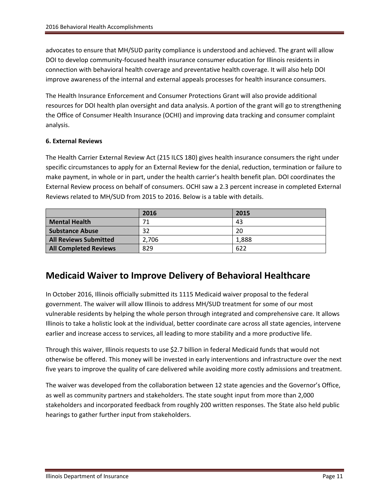advocates to ensure that MH/SUD parity compliance is understood and achieved. The grant will allow DOI to develop community‐focused health insurance consumer education for Illinois residents in connection with behavioral health coverage and preventative health coverage. It will also help DOI improve awareness of the internal and external appeals processes for health insurance consumers.

The Health Insurance Enforcement and Consumer Protections Grant will also provide additional resources for DOI health plan oversight and data analysis. A portion of the grant will go to strengthening the Office of Consumer Health Insurance (OCHI) and improving data tracking and consumer complaint analysis.

### **6. External Reviews**

The Health Carrier External Review Act (215 ILCS 180) gives health insurance consumers the right under specific circumstances to apply for an External Review for the denial, reduction, termination or failure to make payment, in whole or in part, under the health carrier's health benefit plan. DOI coordinates the External Review process on behalf of consumers. OCHI saw a 2.3 percent increase in completed External Reviews related to MH/SUD from 2015 to 2016. Below is a table with details.

|                              | 2016  | 2015  |
|------------------------------|-------|-------|
| <b>Mental Health</b>         | 71    | 43    |
| <b>Substance Abuse</b>       | 32    | 20    |
| <b>All Reviews Submitted</b> | 2.706 | 1.888 |
| <b>All Completed Reviews</b> | 829   | 622   |

### **Medicaid Waiver to Improve Delivery of Behavioral Healthcare**

In October 2016, Illinois officially submitted its 1115 Medicaid waiver proposal to the federal government. The waiver will allow Illinois to address MH/SUD treatment for some of our most vulnerable residents by helping the whole person through integrated and comprehensive care. It allows Illinois to take a holistic look at the individual, better coordinate care across all state agencies, intervene earlier and increase access to services, all leading to more stability and a more productive life.

Through this waiver, Illinois requests to use \$2.7 billion in federal Medicaid funds that would not otherwise be offered. This money will be invested in early interventions and infrastructure over the next five years to improve the quality of care delivered while avoiding more costly admissions and treatment.

The waiver was developed from the collaboration between 12 state agencies and the Governor's Office, as well as community partners and stakeholders. The state sought input from more than 2,000 stakeholders and incorporated feedback from roughly 200 written responses. The State also held public hearings to gather further input from stakeholders.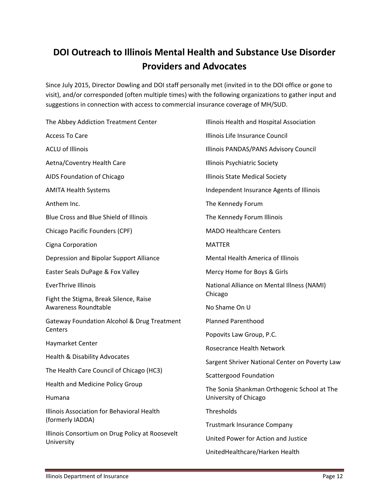## **DOI Outreach to Illinois Mental Health and Substance Use Disorder Providers and Advocates**

Since July 2015, Director Dowling and DOI staff personally met (invited in to the DOI office or gone to visit), and/or corresponded (often multiple times) with the following organizations to gather input and suggestions in connection with access to commercial insurance coverage of MH/SUD.

The Abbey Addiction Treatment Center Access To Care ACLU of Illinois Aetna/Coventry Health Care AIDS Foundation of Chicago AMITA Health Systems Anthem Inc. Blue Cross and Blue Shield of Illinois Chicago Pacific Founders (CPF) Cigna Corporation Depression and Bipolar Support Alliance Easter Seals DuPage & Fox Valley EverThrive Illinois Fight the Stigma, Break Silence, Raise Awareness Roundtable Gateway Foundation Alcohol & Drug Treatment **Centers** Haymarket Center Health & Disability Advocates The Health Care Council of Chicago (HC3) Health and Medicine Policy Group Humana Illinois Association for Behavioral Health (formerly IADDA) Illinois Consortium on Drug Policy at Roosevelt University Illinois Health and Hospital Association Illinois Life Insurance Council Illinois PANDAS/PANS Advisory Council Illinois Psychiatric Society Illinois State Medical Society Independent Insurance Agents of Illinois The Kennedy Forum The Kennedy Forum Illinois MADO Healthcare Centers MATTER Mental Health America of Illinois Mercy Home for Boys & Girls National Alliance on Mental Illness (NAMI) Chicago No Shame On U Planned Parenthood Popovits Law Group, P.C. Rosecrance Health Network Sargent Shriver National Center on Poverty Law Scattergood Foundation The Sonia Shankman Orthogenic School at The University of Chicago **Thresholds** Trustmark Insurance Company United Power for Action and Justice UnitedHealthcare/Harken Health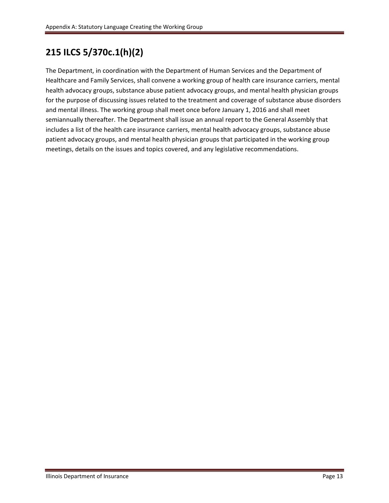### **215 ILCS 5/370c.1(h)(2)**

The Department, in coordination with the Department of Human Services and the Department of Healthcare and Family Services, shall convene a working group of health care insurance carriers, mental health advocacy groups, substance abuse patient advocacy groups, and mental health physician groups for the purpose of discussing issues related to the treatment and coverage of substance abuse disorders and mental illness. The working group shall meet once before January 1, 2016 and shall meet semiannually thereafter. The Department shall issue an annual report to the General Assembly that includes a list of the health care insurance carriers, mental health advocacy groups, substance abuse patient advocacy groups, and mental health physician groups that participated in the working group meetings, details on the issues and topics covered, and any legislative recommendations.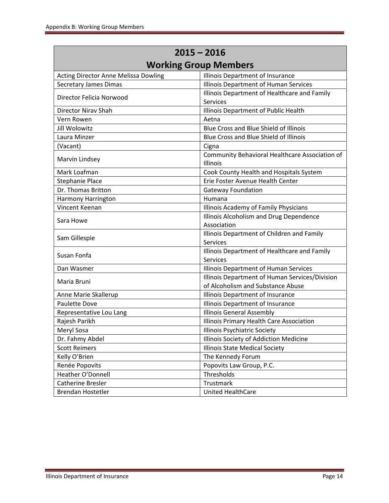| $2015 - 2016$                        |                                                                   |  |  |
|--------------------------------------|-------------------------------------------------------------------|--|--|
|                                      | <b>Working Group Members</b>                                      |  |  |
| Acting Director Anne Melissa Dowling | Illinois Department of Insurance                                  |  |  |
| <b>Secretary James Dimas</b>         | <b>Illinois Department of Human Services</b>                      |  |  |
| Director Felicia Norwood             | Illinois Department of Healthcare and Family                      |  |  |
|                                      | <b>Services</b>                                                   |  |  |
| Director Nirav Shah                  | Illinois Department of Public Health                              |  |  |
| Vern Rowen                           | Aetna                                                             |  |  |
| <b>Jill Wolowitz</b>                 | <b>Blue Cross and Blue Shield of Illinois</b>                     |  |  |
| Laura Minzer                         | Blue Cross and Blue Shield of Illinois                            |  |  |
| (Vacant)                             | Cigna                                                             |  |  |
| Marvin Lindsey                       | Community Behavioral Healthcare Association of<br><b>Illinois</b> |  |  |
| Mark Loafman                         | Cook County Health and Hospitals System                           |  |  |
| <b>Stephanie Place</b>               | Erie Foster Avenue Health Center                                  |  |  |
| Dr. Thomas Britton                   | <b>Gateway Foundation</b>                                         |  |  |
| Harmony Harrington                   | Humana                                                            |  |  |
| Vincent Keenan                       | Illinois Academy of Family Physicians                             |  |  |
| Sara Howe                            | Illinois Alcoholism and Drug Dependence                           |  |  |
|                                      | Association                                                       |  |  |
| Sam Gillespie                        | Illinois Department of Children and Family                        |  |  |
|                                      | <b>Services</b>                                                   |  |  |
| Susan Fonfa                          | Illinois Department of Healthcare and Family                      |  |  |
|                                      | <b>Services</b>                                                   |  |  |
| Dan Wasmer                           | Illinois Department of Human Services                             |  |  |
| Maria Bruni                          | Illinois Department of Human Services/Division                    |  |  |
|                                      | of Alcoholism and Substance Abuse                                 |  |  |
| Anne Marie Skallerup                 | Illinois Department of Insurance                                  |  |  |
| Paulette Dove                        | Illinois Department of Insurance                                  |  |  |
| Representative Lou Lang              | <b>Illinois General Assembly</b>                                  |  |  |
| Rajesh Parikh                        | Illinois Primary Health Care Association                          |  |  |
| Meryl Sosa                           | Illinois Psychiatric Society                                      |  |  |
| Dr. Fahmy Abdel                      | Illinois Society of Addiction Medicine                            |  |  |
| <b>Scott Reimers</b>                 | <b>Illinois State Medical Society</b>                             |  |  |
| Kelly O'Brien                        | The Kennedy Forum                                                 |  |  |
| Renée Popovits                       | Popovits Law Group, P.C.                                          |  |  |
| Heather O'Donnell                    | Thresholds                                                        |  |  |
| <b>Catherine Bresler</b>             | Trustmark                                                         |  |  |
| Brendan Hostetler                    | <b>United HealthCare</b>                                          |  |  |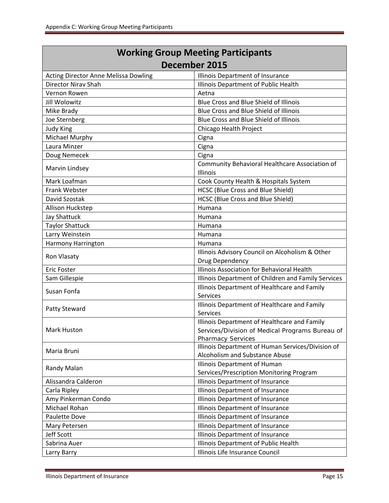| <b>Working Group Meeting Participants</b>            |                                                                                                                             |  |  |  |
|------------------------------------------------------|-----------------------------------------------------------------------------------------------------------------------------|--|--|--|
| December 2015                                        |                                                                                                                             |  |  |  |
| <b>Acting Director Anne Melissa Dowling</b>          | Illinois Department of Insurance                                                                                            |  |  |  |
| <b>Director Nirav Shah</b>                           | Illinois Department of Public Health                                                                                        |  |  |  |
| Vernon Rowen                                         | Aetna                                                                                                                       |  |  |  |
| <b>Jill Wolowitz</b>                                 | Blue Cross and Blue Shield of Illinois                                                                                      |  |  |  |
| Mike Brady                                           | Blue Cross and Blue Shield of Illinois                                                                                      |  |  |  |
| Joe Sternberg                                        | Blue Cross and Blue Shield of Illinois                                                                                      |  |  |  |
| <b>Judy King</b>                                     | Chicago Health Project                                                                                                      |  |  |  |
| Michael Murphy                                       | Cigna                                                                                                                       |  |  |  |
| Laura Minzer                                         | Cigna                                                                                                                       |  |  |  |
| Doug Nemecek                                         | Cigna                                                                                                                       |  |  |  |
| Marvin Lindsey                                       | Community Behavioral Healthcare Association of<br>Illinois                                                                  |  |  |  |
| Mark Loafman                                         | Cook County Health & Hospitals System                                                                                       |  |  |  |
| Frank Webster                                        | <b>HCSC (Blue Cross and Blue Shield)</b>                                                                                    |  |  |  |
| David Szostak                                        | HCSC (Blue Cross and Blue Shield)                                                                                           |  |  |  |
| Allison Huckstep                                     | Humana                                                                                                                      |  |  |  |
| <b>Jay Shattuck</b>                                  | Humana                                                                                                                      |  |  |  |
| <b>Taylor Shattuck</b>                               | Humana                                                                                                                      |  |  |  |
| Larry Weinstein                                      | Humana                                                                                                                      |  |  |  |
| Harmony Harrington                                   | Humana                                                                                                                      |  |  |  |
|                                                      | Illinois Advisory Council on Alcoholism & Other                                                                             |  |  |  |
| Ron Vlasaty                                          | Drug Dependency                                                                                                             |  |  |  |
| <b>Eric Foster</b>                                   | Illinois Association for Behavioral Health                                                                                  |  |  |  |
| Sam Gillespie                                        | Illinois Department of Children and Family Services                                                                         |  |  |  |
| Susan Fonfa                                          | Illinois Department of Healthcare and Family<br><b>Services</b>                                                             |  |  |  |
| <b>Patty Steward</b>                                 | Illinois Department of Healthcare and Family<br><b>Services</b>                                                             |  |  |  |
| <b>Mark Huston</b>                                   | Illinois Department of Healthcare and Family<br>Services/Division of Medical Programs Bureau of<br><b>Pharmacy Services</b> |  |  |  |
| Maria Bruni                                          | Illinois Department of Human Services/Division of<br>Alcoholism and Substance Abuse                                         |  |  |  |
| Randy Malan                                          | Illinois Department of Human<br>Services/Prescription Monitoring Program                                                    |  |  |  |
| Alissandra Calderon                                  | Illinois Department of Insurance                                                                                            |  |  |  |
| Carla Ripley                                         | Illinois Department of Insurance                                                                                            |  |  |  |
| Amy Pinkerman Condo                                  | Illinois Department of Insurance                                                                                            |  |  |  |
| Michael Rohan                                        | Illinois Department of Insurance                                                                                            |  |  |  |
| Paulette Dove                                        | Illinois Department of Insurance                                                                                            |  |  |  |
| Mary Petersen                                        | Illinois Department of Insurance                                                                                            |  |  |  |
| Jeff Scott                                           | Illinois Department of Insurance                                                                                            |  |  |  |
| Illinois Department of Public Health<br>Sabrina Auer |                                                                                                                             |  |  |  |
| Larry Barry                                          | Illinois Life Insurance Council                                                                                             |  |  |  |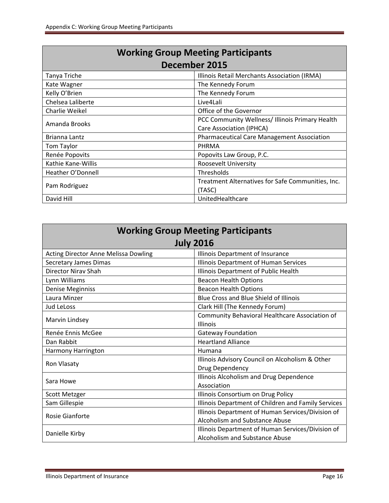| <b>Working Group Meeting Participants</b> |                                                   |  |  |
|-------------------------------------------|---------------------------------------------------|--|--|
| December 2015                             |                                                   |  |  |
| Tanya Triche                              | Illinois Retail Merchants Association (IRMA)      |  |  |
| Kate Wagner                               | The Kennedy Forum                                 |  |  |
| Kelly O'Brien                             | The Kennedy Forum                                 |  |  |
| Chelsea Laliberte                         | Live4Lali                                         |  |  |
| Charlie Weikel                            | Office of the Governor                            |  |  |
| Amanda Brooks                             | PCC Community Wellness/Illinois Primary Health    |  |  |
|                                           | Care Association (IPHCA)                          |  |  |
| Brianna Lantz                             | <b>Pharmaceutical Care Management Association</b> |  |  |
| Tom Taylor                                | PHRMA                                             |  |  |
| Renée Popovits                            | Popovits Law Group, P.C.                          |  |  |
| Kathie Kane-Willis                        | Roosevelt University                              |  |  |
| Heather O'Donnell                         | Thresholds                                        |  |  |
|                                           | Treatment Alternatives for Safe Communities, Inc. |  |  |
| Pam Rodriguez                             | (TASC)                                            |  |  |
| David Hill                                | UnitedHealthcare                                  |  |  |

| <b>Working Group Meeting Participants</b>   |                                                     |  |  |
|---------------------------------------------|-----------------------------------------------------|--|--|
| <b>July 2016</b>                            |                                                     |  |  |
| <b>Acting Director Anne Melissa Dowling</b> | Illinois Department of Insurance                    |  |  |
| <b>Secretary James Dimas</b>                | Illinois Department of Human Services               |  |  |
| <b>Director Nirav Shah</b>                  | Illinois Department of Public Health                |  |  |
| Lynn Williams                               | <b>Beacon Health Options</b>                        |  |  |
| Denise Meginniss                            | <b>Beacon Health Options</b>                        |  |  |
| Laura Minzer                                | Blue Cross and Blue Shield of Illinois              |  |  |
| <b>Jud LeLoss</b>                           | Clark Hill (The Kennedy Forum)                      |  |  |
|                                             | Community Behavioral Healthcare Association of      |  |  |
| Marvin Lindsey                              | Illinois                                            |  |  |
| Renée Ennis McGee                           | <b>Gateway Foundation</b>                           |  |  |
| Dan Rabbit                                  | <b>Heartland Alliance</b>                           |  |  |
| Harmony Harrington                          | Humana                                              |  |  |
| Ron Vlasaty                                 | Illinois Advisory Council on Alcoholism & Other     |  |  |
|                                             | Drug Dependency                                     |  |  |
| Sara Howe                                   | Illinois Alcoholism and Drug Dependence             |  |  |
|                                             | Association                                         |  |  |
| Scott Metzger                               | Illinois Consortium on Drug Policy                  |  |  |
| Sam Gillespie                               | Illinois Department of Children and Family Services |  |  |
| <b>Rosie Gianforte</b>                      | Illinois Department of Human Services/Division of   |  |  |
|                                             | Alcoholism and Substance Abuse                      |  |  |
| Danielle Kirby                              | Illinois Department of Human Services/Division of   |  |  |
|                                             | Alcoholism and Substance Abuse                      |  |  |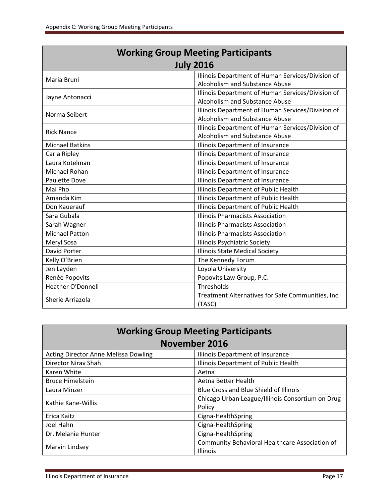| <b>Working Group Meeting Participants</b> |                                                                                     |  |  |
|-------------------------------------------|-------------------------------------------------------------------------------------|--|--|
|                                           | <b>July 2016</b>                                                                    |  |  |
| Maria Bruni                               | Illinois Department of Human Services/Division of<br>Alcoholism and Substance Abuse |  |  |
| Jayne Antonacci                           | Illinois Department of Human Services/Division of<br>Alcoholism and Substance Abuse |  |  |
| Norma Seibert                             | Illinois Department of Human Services/Division of<br>Alcoholism and Substance Abuse |  |  |
| <b>Rick Nance</b>                         | Illinois Department of Human Services/Division of<br>Alcoholism and Substance Abuse |  |  |
| <b>Michael Batkins</b>                    | Illinois Department of Insurance                                                    |  |  |
| Carla Ripley                              | Illinois Department of Insurance                                                    |  |  |
| Laura Kotelman                            | Illinois Department of Insurance                                                    |  |  |
| Michael Rohan                             | Illinois Department of Insurance                                                    |  |  |
| Paulette Dove                             | Illinois Department of Insurance                                                    |  |  |
| Mai Pho                                   | Illinois Department of Public Health                                                |  |  |
| Amanda Kim                                | Illinois Department of Public Health                                                |  |  |
| Don Kauerauf                              | Illinois Department of Public Health                                                |  |  |
| Sara Gubala                               | <b>Illinois Pharmacists Association</b>                                             |  |  |
| Sarah Wagner                              | <b>Illinois Pharmacists Association</b>                                             |  |  |
| <b>Michael Patton</b>                     | <b>Illinois Pharmacists Association</b>                                             |  |  |
| Meryl Sosa                                | Illinois Psychiatric Society                                                        |  |  |
| David Porter                              | <b>Illinois State Medical Society</b>                                               |  |  |
| Kelly O'Brien                             | The Kennedy Forum                                                                   |  |  |
| Jen Layden                                | Loyola University                                                                   |  |  |
| Renée Popovits                            | Popovits Law Group, P.C.                                                            |  |  |
| Heather O'Donnell                         | Thresholds                                                                          |  |  |
| Sherie Arriazola                          | Treatment Alternatives for Safe Communities, Inc.<br>(TASC)                         |  |  |

| <b>Working Group Meeting Participants</b>   |                                                  |  |  |
|---------------------------------------------|--------------------------------------------------|--|--|
| November 2016                               |                                                  |  |  |
| <b>Acting Director Anne Melissa Dowling</b> | Illinois Department of Insurance                 |  |  |
| Director Nirav Shah                         | Illinois Department of Public Health             |  |  |
| Karen White                                 | Aetna                                            |  |  |
| <b>Bruce Himelstein</b>                     | Aetna Better Health                              |  |  |
| Laura Minzer                                | Blue Cross and Blue Shield of Illinois           |  |  |
| Kathie Kane-Willis                          | Chicago Urban League/Illinois Consortium on Drug |  |  |
|                                             | Policy                                           |  |  |
| Erica Kaitz                                 | Cigna-HealthSpring                               |  |  |
| Joel Hahn                                   | Cigna-HealthSpring                               |  |  |
| Dr. Melanie Hunter                          | Cigna-HealthSpring                               |  |  |
|                                             | Community Behavioral Healthcare Association of   |  |  |
| Marvin Lindsey                              | <b>Illinois</b>                                  |  |  |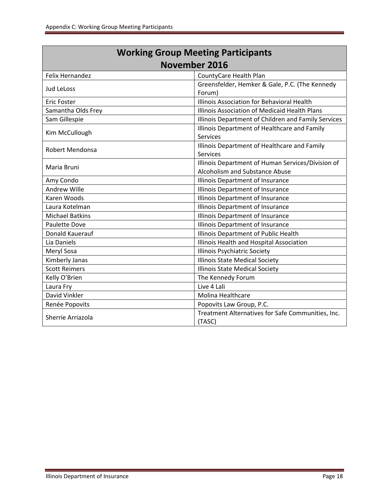Г

| <b>Working Group Meeting Participants</b> |                                                                                     |  |  |
|-------------------------------------------|-------------------------------------------------------------------------------------|--|--|
| <b>November 2016</b>                      |                                                                                     |  |  |
| Felix Hernandez                           | CountyCare Health Plan                                                              |  |  |
| Jud LeLoss                                | Greensfelder, Hemker & Gale, P.C. (The Kennedy<br>Forum)                            |  |  |
| Eric Foster                               | Illinois Association for Behavioral Health                                          |  |  |
| Samantha Olds Frey                        | Illinois Association of Medicaid Health Plans                                       |  |  |
| Sam Gillespie                             | Illinois Department of Children and Family Services                                 |  |  |
| Kim McCullough                            | Illinois Department of Healthcare and Family<br><b>Services</b>                     |  |  |
| Robert Mendonsa                           | Illinois Department of Healthcare and Family<br><b>Services</b>                     |  |  |
| Maria Bruni                               | Illinois Department of Human Services/Division of<br>Alcoholism and Substance Abuse |  |  |
| Amy Condo                                 | Illinois Department of Insurance                                                    |  |  |
| <b>Andrew Wille</b>                       | Illinois Department of Insurance                                                    |  |  |
| Karen Woods                               | Illinois Department of Insurance                                                    |  |  |
| Laura Kotelman                            | Illinois Department of Insurance                                                    |  |  |
| <b>Michael Batkins</b>                    | Illinois Department of Insurance                                                    |  |  |
| <b>Paulette Dove</b>                      | Illinois Department of Insurance                                                    |  |  |
| Donald Kauerauf                           | Illinois Department of Public Health                                                |  |  |
| Lia Daniels                               | Illinois Health and Hospital Association                                            |  |  |
| Meryl Sosa                                | <b>Illinois Psychiatric Society</b>                                                 |  |  |
| Kimberly Janas                            | <b>Illinois State Medical Society</b>                                               |  |  |
| <b>Scott Reimers</b>                      | Illinois State Medical Society                                                      |  |  |
| Kelly O'Brien                             | The Kennedy Forum                                                                   |  |  |
| Laura Fry                                 | Live 4 Lali                                                                         |  |  |
| David Vinkler                             | Molina Healthcare                                                                   |  |  |
| Renée Popovits                            | Popovits Law Group, P.C.                                                            |  |  |
| Sherrie Arriazola                         | Treatment Alternatives for Safe Communities, Inc.<br>(TASC)                         |  |  |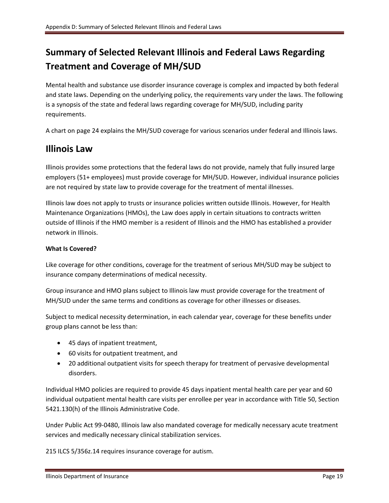## **Summary of Selected Relevant Illinois and Federal Laws Regarding Treatment and Coverage of MH/SUD**

Mental health and substance use disorder insurance coverage is complex and impacted by both federal and state laws. Depending on the underlying policy, the requirements vary under the laws. The following is a synopsis of the state and federal laws regarding coverage for MH/SUD, including parity requirements.

A chart on page 24 explains the MH/SUD coverage for various scenarios under federal and Illinois laws.

### **Illinois Law**

Illinois provides some protections that the federal laws do not provide, namely that fully insured large employers (51+ employees) must provide coverage for MH/SUD. However, individual insurance policies are not required by state law to provide coverage for the treatment of mental illnesses.

Illinois law does not apply to trusts or insurance policies written outside Illinois. However, for Health Maintenance Organizations (HMOs), the Law does apply in certain situations to contracts written outside of Illinois if the HMO member is a resident of Illinois and the HMO has established a provider network in Illinois.

### **What Is Covered?**

Like coverage for other conditions, coverage for the treatment of serious MH/SUD may be subject to insurance company determinations of medical necessity.

Group insurance and HMO plans subject to Illinois law must provide coverage for the treatment of MH/SUD under the same terms and conditions as coverage for other illnesses or diseases.

Subject to medical necessity determination, in each calendar year, coverage for these benefits under group plans cannot be less than:

- 45 days of inpatient treatment,
- 60 visits for outpatient treatment, and
- 20 additional outpatient visits for speech therapy for treatment of pervasive developmental disorders.

Individual HMO policies are required to provide 45 days inpatient mental health care per year and 60 individual outpatient mental health care visits per enrollee per year in accordance with Title 50, Section 5421.130(h) of the Illinois Administrative Code.

Under Public Act 99‐0480, Illinois law also mandated coverage for medically necessary acute treatment services and medically necessary clinical stabilization services.

215 ILCS 5/356z.14 requires insurance coverage for autism.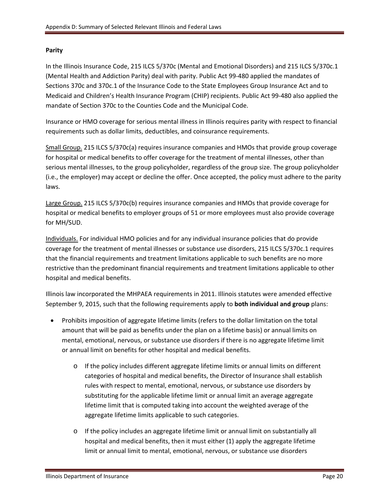### **Parity**

In the Illinois Insurance Code, 215 ILCS 5/370c (Mental and Emotional Disorders) and 215 ILCS 5/370c.1 (Mental Health and Addiction Parity) deal with parity. Public Act 99‐480 applied the mandates of Sections 370c and 370c.1 of the Insurance Code to the State Employees Group Insurance Act and to Medicaid and Children's Health Insurance Program (CHIP) recipients. Public Act 99‐480 also applied the mandate of Section 370c to the Counties Code and the Municipal Code.

Insurance or HMO coverage for serious mental illness in Illinois requires parity with respect to financial requirements such as dollar limits, deductibles, and coinsurance requirements.

Small Group. 215 ILCS 5/370c(a) requires insurance companies and HMOs that provide group coverage for hospital or medical benefits to offer coverage for the treatment of mental illnesses, other than serious mental illnesses, to the group policyholder, regardless of the group size. The group policyholder (i.e., the employer) may accept or decline the offer. Once accepted, the policy must adhere to the parity laws.

Large Group. 215 ILCS 5/370c(b) requires insurance companies and HMOs that provide coverage for hospital or medical benefits to employer groups of 51 or more employees must also provide coverage for MH/SUD.

Individuals. For individual HMO policies and for any individual insurance policies that do provide coverage for the treatment of mental illnesses or substance use disorders, 215 ILCS 5/370c.1 requires that the financial requirements and treatment limitations applicable to such benefits are no more restrictive than the predominant financial requirements and treatment limitations applicable to other hospital and medical benefits.

Illinois law incorporated the MHPAEA requirements in 2011. Illinois statutes were amended effective September 9, 2015, such that the following requirements apply to **both individual and group** plans:

- Prohibits imposition of aggregate lifetime limits (refers to the dollar limitation on the total amount that will be paid as benefits under the plan on a lifetime basis) or annual limits on mental, emotional, nervous, or substance use disorders if there is no aggregate lifetime limit or annual limit on benefits for other hospital and medical benefits.
	- o If the policy includes different aggregate lifetime limits or annual limits on different categories of hospital and medical benefits, the Director of Insurance shall establish rules with respect to mental, emotional, nervous, or substance use disorders by substituting for the applicable lifetime limit or annual limit an average aggregate lifetime limit that is computed taking into account the weighted average of the aggregate lifetime limits applicable to such categories.
	- o If the policy includes an aggregate lifetime limit or annual limit on substantially all hospital and medical benefits, then it must either (1) apply the aggregate lifetime limit or annual limit to mental, emotional, nervous, or substance use disorders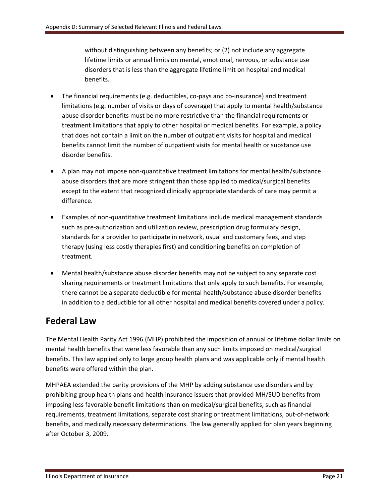without distinguishing between any benefits; or (2) not include any aggregate lifetime limits or annual limits on mental, emotional, nervous, or substance use disorders that is less than the aggregate lifetime limit on hospital and medical benefits.

- The financial requirements (e.g. deductibles, co-pays and co-insurance) and treatment limitations (e.g. number of visits or days of coverage) that apply to mental health/substance abuse disorder benefits must be no more restrictive than the financial requirements or treatment limitations that apply to other hospital or medical benefits. For example, a policy that does not contain a limit on the number of outpatient visits for hospital and medical benefits cannot limit the number of outpatient visits for mental health or substance use disorder benefits.
- A plan may not impose non‐quantitative treatment limitations for mental health/substance abuse disorders that are more stringent than those applied to medical/surgical benefits except to the extent that recognized clinically appropriate standards of care may permit a difference.
- Examples of non-quantitative treatment limitations include medical management standards such as pre-authorization and utilization review, prescription drug formulary design, standards for a provider to participate in network, usual and customary fees, and step therapy (using less costly therapies first) and conditioning benefits on completion of treatment.
- Mental health/substance abuse disorder benefits may not be subject to any separate cost sharing requirements or treatment limitations that only apply to such benefits. For example, there cannot be a separate deductible for mental health/substance abuse disorder benefits in addition to a deductible for all other hospital and medical benefits covered under a policy.

### **Federal Law**

The Mental Health Parity Act 1996 (MHP) prohibited the imposition of annual or lifetime dollar limits on mental health benefits that were less favorable than any such limits imposed on medical/surgical benefits. This law applied only to large group health plans and was applicable only if mental health benefits were offered within the plan.

MHPAEA extended the parity provisions of the MHP by adding substance use disorders and by prohibiting group health plans and health insurance issuers that provided MH/SUD benefits from imposing less favorable benefit limitations than on medical/surgical benefits, such as financial requirements, treatment limitations, separate cost sharing or treatment limitations, out‐of‐network benefits, and medically necessary determinations. The law generally applied for plan years beginning after October 3, 2009.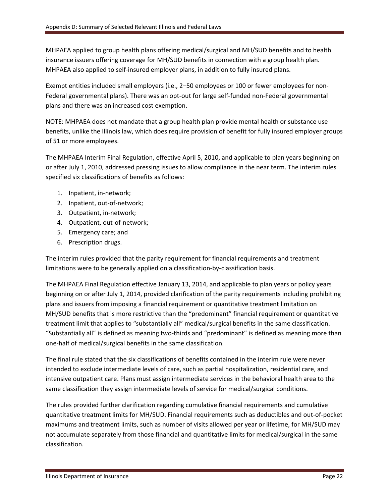MHPAEA applied to group health plans offering medical/surgical and MH/SUD benefits and to health insurance issuers offering coverage for MH/SUD benefits in connection with a group health plan. MHPAEA also applied to self‐insured employer plans, in addition to fully insured plans.

Exempt entities included small employers (i.e., 2–50 employees or 100 or fewer employees for non‐ Federal governmental plans). There was an opt-out for large self-funded non-Federal governmental plans and there was an increased cost exemption.

NOTE: MHPAEA does not mandate that a group health plan provide mental health or substance use benefits, unlike the Illinois law, which does require provision of benefit for fully insured employer groups of 51 or more employees.

The MHPAEA Interim Final Regulation, effective April 5, 2010, and applicable to plan years beginning on or after July 1, 2010, addressed pressing issues to allow compliance in the near term. The interim rules specified six classifications of benefits as follows:

- 1. Inpatient, in‐network;
- 2. Inpatient, out‐of‐network;
- 3. Outpatient, in‐network;
- 4. Outpatient, out‐of‐network;
- 5. Emergency care; and
- 6. Prescription drugs.

The interim rules provided that the parity requirement for financial requirements and treatment limitations were to be generally applied on a classification‐by‐classification basis.

The MHPAEA Final Regulation effective January 13, 2014, and applicable to plan years or policy years beginning on or after July 1, 2014, provided clarification of the parity requirements including prohibiting plans and issuers from imposing a financial requirement or quantitative treatment limitation on MH/SUD benefits that is more restrictive than the "predominant" financial requirement or quantitative treatment limit that applies to "substantially all" medical/surgical benefits in the same classification. "Substantially all" is defined as meaning two‐thirds and "predominant" is defined as meaning more than one‐half of medical/surgical benefits in the same classification.

The final rule stated that the six classifications of benefits contained in the interim rule were never intended to exclude intermediate levels of care, such as partial hospitalization, residential care, and intensive outpatient care. Plans must assign intermediate services in the behavioral health area to the same classification they assign intermediate levels of service for medical/surgical conditions.

The rules provided further clarification regarding cumulative financial requirements and cumulative quantitative treatment limits for MH/SUD. Financial requirements such as deductibles and out‐of‐pocket maximums and treatment limits, such as number of visits allowed per year or lifetime, for MH/SUD may not accumulate separately from those financial and quantitative limits for medical/surgical in the same classification.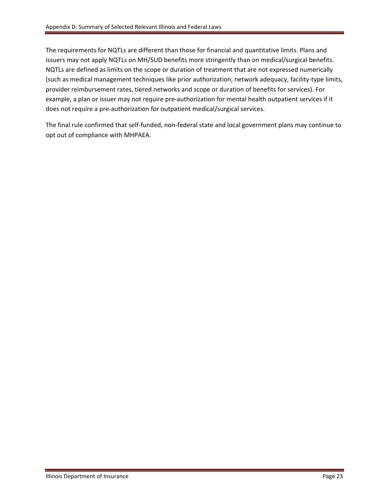The requirements for NQTLs are different than those for financial and quantitative limits. Plans and issuers may not apply NQTLs on MH/SUD benefits more stringently than on medical/surgical benefits. NQTLs are defined as limits on the scope or duration of treatment that are not expressed numerically (such as medical management techniques like prior authorization, network adequacy, facility‐type limits, provider reimbursement rates, tiered networks and scope or duration of benefits for services). For example, a plan or issuer may not require pre‐authorization for mental health outpatient services if it does not require a pre‐authorization for outpatient medical/surgical services.

The final rule confirmed that self-funded, non-federal state and local government plans may continue to opt out of compliance with MHPAEA.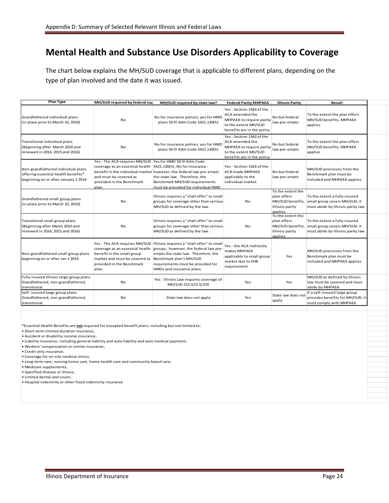### **Mental Health and Substance Use Disorders Applicability to Coverage**

The chart below explains the MH/SUD coverage that is applicable to different plans, depending on the type of plan involved and the date it was issued.

| <b>Plan Type</b>                                                                                                  | MH/SUD required by federal Lav                                                                                                                                                               | MH/SUD required by state law?                                                                                                                                                                                                                         | <b>Federal Parity MHPAEA</b>                                                                                                                 | <b>Illinois Parity</b>                                                             | Result                                                                                                                |
|-------------------------------------------------------------------------------------------------------------------|----------------------------------------------------------------------------------------------------------------------------------------------------------------------------------------------|-------------------------------------------------------------------------------------------------------------------------------------------------------------------------------------------------------------------------------------------------------|----------------------------------------------------------------------------------------------------------------------------------------------|------------------------------------------------------------------------------------|-----------------------------------------------------------------------------------------------------------------------|
| Grandfathered individual plans<br>(in place prior to March 10, 2010)                                              | No                                                                                                                                                                                           | No for insurance polices; yes for HMO<br>plans 50 III Adm Code 5421.130(h)                                                                                                                                                                            | Yes - Section 1563 of the<br>ACA amended the<br>MHPAEA to require parity<br>to the extent MH/SUD<br>benefits are in the policy               | No but federal<br>law pre-empts                                                    | To the extent the plan offers<br>MH/SUD benefits, MHPAEA<br>applies                                                   |
| Transitional individual plans<br>(Beginning after March 2010 and<br>renewed in 2014, 2015 and 2016)               | <b>No</b>                                                                                                                                                                                    | No for insurance polices; yes for HMO<br>plans 50 Ill Adm Code 5421.130(h)                                                                                                                                                                            | Yes - Section 1563 of the<br>ACA amended the<br>MHPAEA to require parity law pre-empts<br>to the extent MH/SUD<br>benefits are in the policy | No but federal                                                                     | To the extent the plan offers<br>MH/SUD benefits, MHPAEA<br>applies                                                   |
| Non-grandfathered individual plans<br>offering essential health benefits*<br>beginning on or after January 1 2014 | Yes - The ACA requires MH/SUD Yes for HMO 50 Ill Adm Code<br>coverage as an essential health 5421.130(h); No for insurance -<br>and must be covered as<br>provided in the Benchmark<br>plan. | benefit in the individual market however, the federal law pre-empts<br>the state law. Therefore, the<br>Benchmark MH/SUD requirements<br>must be provided for individual HMO                                                                          | Yes - Section 1563 of the<br><b>ACA made MHPAEA</b><br>applicable to the<br>individual market                                                | No but federal<br>law pre-empts                                                    | MH/SUD provisions from the<br>Benchmark plan must be<br>included and MHPAEA applies.                                  |
| Grandfathered small group plans<br>(in place prior to March 10, 2010)                                             | No                                                                                                                                                                                           | Illinois requires a "shall offer" to small<br>groups for coverage other than serious<br>MH/SUD as defined by the law.                                                                                                                                 | No                                                                                                                                           | To the extent the<br>plan offers<br>MH/SUD benefits,<br>Illinois parity<br>applies | To the extent a fully insured<br>small group covers MH/SUD, it<br>must abide by Illinois parity law.                  |
| Transitional small group plans<br>(Beginning after March 2010 and<br>renewed in 2014, 2015 and 2016)              | No                                                                                                                                                                                           | Illinois requires a "shall offer" to small<br>groups for coverage other than serious<br>MH/SUD as defined by the law.                                                                                                                                 | No                                                                                                                                           | To the extent the<br>plan offers<br>Illinois parity<br>applies                     | To the extent a fully insured<br>MH/SUD benefits, small group covers MH/SUD, it<br>must abide by Illinois parity law. |
| Non-grandfathered small group plans<br>beginning on or after Jan 1 2014                                           | coverage as an essential health<br>benefit in the small group<br>market and must be covered as<br>provided in the Benchmark<br>plan.                                                         | Yes - The ACA requires MH/SUD Illinois requires a "shall offer" to small<br>groups; however, the federal law pre-<br>empts the state law. Therefore, the<br>Benchmark plan's MH/SUD<br>requirements must be provided for<br>HMOs and insurance plans. | Yes - the ACA indirectly<br>makes MHPAEA<br>applicable to small group<br>market due to EHB<br>requirement.                                   | Yes                                                                                | MH/SUD provisions from the<br>Benchmark plan must be<br>included and MHPAEA applies.                                  |
| Fully insured Illinois large group plans<br>Grandfathered, non-grandfathered,<br>transitional                     | No                                                                                                                                                                                           | Yes - Illinois Law requires coverage of<br>MH/SUD 215 ILCS 5/370                                                                                                                                                                                      | Yes                                                                                                                                          | Yes                                                                                | MH/SUD as defined by Illinois<br>law must be covered and must<br>abide by MHPAEA                                      |
| Self- insured large group plans<br>Grandfathered, non-grandfathered,<br>transitional                              | No                                                                                                                                                                                           | State law does not apply                                                                                                                                                                                                                              | Yes                                                                                                                                          | State law does not<br>apply                                                        | If a self-insured large group<br>provides benefits for MH/SUD, it<br>must comply with MHPAEA                          |

\*Essential Health Benefits are **not** required for excepted benefit plans, including but not limited to:

• Short‐term limited duration insurance;

• Accident or disability income insurance;

• Liability insurance, including general liability and auto liability and auto medical payment;

• Workers' compensation or similar insurance;

• Credit only insurance;

• Coverage for on‐site medical clinics;

• Long‐term care, nursing home care, home health care and community based care;

• Medicare supplements;

• Specified disease or illness;

• Limited dental and vision;

• Hospital indemnity or other fixed indemnity insurance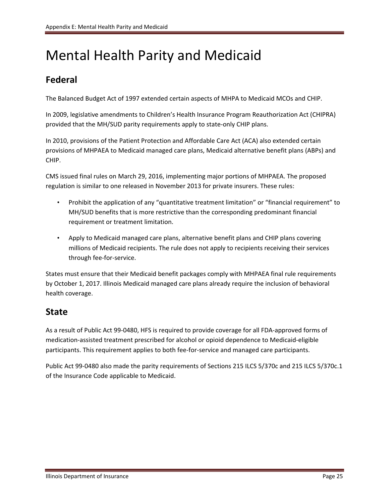# Mental Health Parity and Medicaid

### **Federal**

The Balanced Budget Act of 1997 extended certain aspects of MHPA to Medicaid MCOs and CHIP.

In 2009, legislative amendments to Children's Health Insurance Program Reauthorization Act (CHIPRA) provided that the MH/SUD parity requirements apply to state-only CHIP plans.

In 2010, provisions of the Patient Protection and Affordable Care Act (ACA) also extended certain provisions of MHPAEA to Medicaid managed care plans, Medicaid alternative benefit plans (ABPs) and CHIP.

CMS issued final rules on March 29, 2016, implementing major portions of MHPAEA. The proposed regulation is similar to one released in November 2013 for private insurers. These rules:

- Prohibit the application of any "quantitative treatment limitation" or "financial requirement" to MH/SUD benefits that is more restrictive than the corresponding predominant financial requirement or treatment limitation.
- Apply to Medicaid managed care plans, alternative benefit plans and CHIP plans covering millions of Medicaid recipients. The rule does not apply to recipients receiving their services through fee‐for‐service.

States must ensure that their Medicaid benefit packages comply with MHPAEA final rule requirements by October 1, 2017. Illinois Medicaid managed care plans already require the inclusion of behavioral health coverage.

### **State**

As a result of Public Act 99‐0480, HFS is required to provide coverage for all FDA‐approved forms of medication‐assisted treatment prescribed for alcohol or opioid dependence to Medicaid‐eligible participants. This requirement applies to both fee‐for‐service and managed care participants.

Public Act 99‐0480 also made the parity requirements of Sections 215 ILCS 5/370c and 215 ILCS 5/370c.1 of the Insurance Code applicable to Medicaid.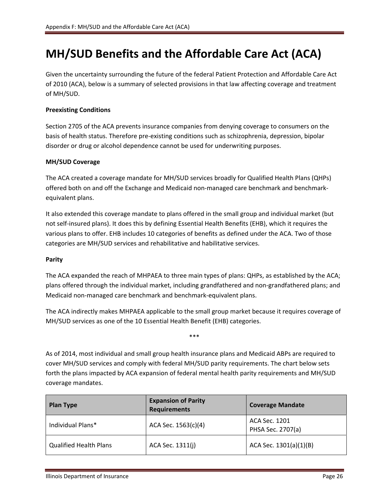## **MH/SUD Benefits and the Affordable Care Act (ACA)**

Given the uncertainty surrounding the future of the federal Patient Protection and Affordable Care Act of 2010 (ACA), below is a summary of selected provisions in that law affecting coverage and treatment of MH/SUD.

### **Preexisting Conditions**

Section 2705 of the ACA prevents insurance companies from denying coverage to consumers on the basis of health status. Therefore pre‐existing conditions such as schizophrenia, depression, bipolar disorder or drug or alcohol dependence cannot be used for underwriting purposes.

### **MH/SUD Coverage**

The ACA created a coverage mandate for MH/SUD services broadly for Qualified Health Plans (QHPs) offered both on and off the Exchange and Medicaid non‐managed care benchmark and benchmark‐ equivalent plans.

It also extended this coverage mandate to plans offered in the small group and individual market (but not self‐insured plans). It does this by defining Essential Health Benefits (EHB), which it requires the various plans to offer. EHB includes 10 categories of benefits as defined under the ACA. Two of those categories are MH/SUD services and rehabilitative and habilitative services.

### **Parity**

The ACA expanded the reach of MHPAEA to three main types of plans: QHPs, as established by the ACA; plans offered through the individual market, including grandfathered and non‐grandfathered plans; and Medicaid non‐managed care benchmark and benchmark‐equivalent plans.

The ACA indirectly makes MHPAEA applicable to the small group market because it requires coverage of MH/SUD services as one of the 10 Essential Health Benefit (EHB) categories.

\*\*\*

As of 2014, most individual and small group health insurance plans and Medicaid ABPs are required to cover MH/SUD services and comply with federal MH/SUD parity requirements. The chart below sets forth the plans impacted by ACA expansion of federal mental health parity requirements and MH/SUD coverage mandates.

| <b>Plan Type</b>              | <b>Expansion of Parity</b><br><b>Requirements</b> | <b>Coverage Mandate</b>            |
|-------------------------------|---------------------------------------------------|------------------------------------|
| Individual Plans*             | ACA Sec. 1563(c)(4)                               | ACA Sec. 1201<br>PHSA Sec. 2707(a) |
| <b>Qualified Health Plans</b> | ACA Sec. 1311(j)                                  | $ACA$ Sec. $1301(a)(1)(B)$         |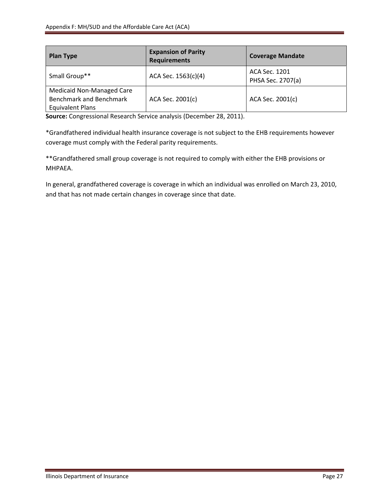| <b>Plan Type</b>                                                                | <b>Expansion of Parity</b><br><b>Requirements</b> | <b>Coverage Mandate</b>            |
|---------------------------------------------------------------------------------|---------------------------------------------------|------------------------------------|
| Small Group**                                                                   | ACA Sec. 1563(c)(4)                               | ACA Sec. 1201<br>PHSA Sec. 2707(a) |
| Medicaid Non-Managed Care<br>Benchmark and Benchmark<br><b>Equivalent Plans</b> | ACA Sec. 2001(c)                                  | ACA Sec. 2001(c)                   |

**Source:** Congressional Research Service analysis (December 28, 2011).

\*Grandfathered individual health insurance coverage is not subject to the EHB requirements however coverage must comply with the Federal parity requirements.

\*\*Grandfathered small group coverage is not required to comply with either the EHB provisions or MHPAEA.

In general, grandfathered coverage is coverage in which an individual was enrolled on March 23, 2010, and that has not made certain changes in coverage since that date.